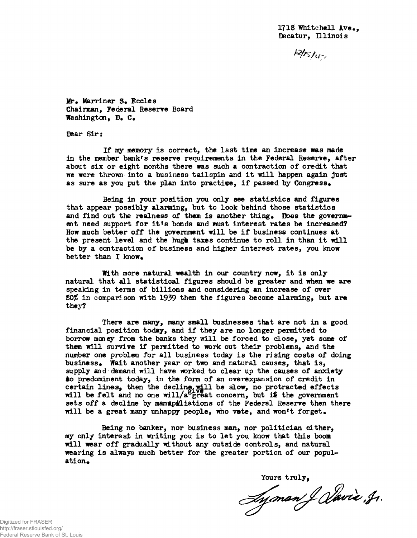$M$ rs/ $\sigma$ 

Mr. Marriner S. Eccles Chairman, Federal Reserve Board Washington, D. C.

Dear Sir:

If my memory is correct, the last time an increase was made in the member bankrs reserve requirements in the Federal Reserve, after about six or eight months there was such a contraction of credit that we were thrown into a business tailspin and it will happen again just as sure as you put the plan into practive, if passed by Congress.

Being in your position you only see statistics and figures that appear possibly alarming, but to look behind those statistics and find out the realness of them is another thing. Does the government need support for it's bonds and must interest rates be increased? How much better off the government will be if business continues at the present level and the hugh taxes continue to roll in than it will be by a contraction of business and higher interest rates, you know better than I know.

With more natural wealth in our country now, it is only natural that all statistical figures should be greater and when we are speaking in terms of billions and considering an increase of over *t0%* in comparison with 1939 then the figures become alarming, but are they?

There are many, many small businesses that are not in a good financial position today, and if they are no longer permitted to borrow money from the banks they will be forced to close, yet some of them will survive if permitted to work out their problems, and the number one problem for all business today is the rising costs of doing business. Whait another year or two and natural causes, that is, supply and demand will have worked to clear up the causes of anxiety to predominent today, in the form of an overexpansion of credit in certain lines, then the decline.will be alow, no protracted effects will be felt and no one will/a $8\frac{1}{2}$ reat concern, but is the government sets off a decline by manupiliations of the Federal Reserve then there will be a great many unhappy people, who vete, and won't forget.

Being no banker, nor business man, nor politician either, my only interest in writing you is to let you know that this boom will wear off gradually without any outside controls, and natural wearing is always much better for the greater portion of our population.

Yours truly,<br>Ayman & Vavia, Jr.

Digitized for FRASER http://fraser.stlouisfed.org/ Federal Reserve Bank of St. Louis